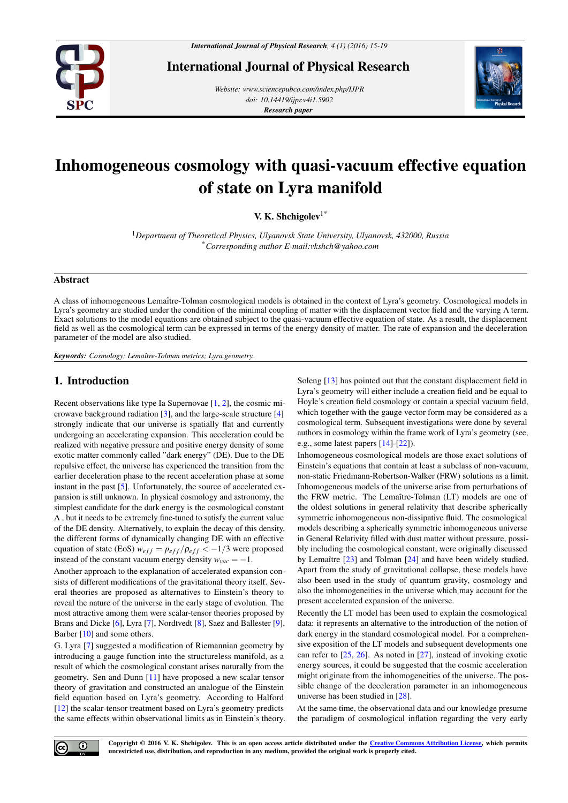

International Journal of Physical Research

*Website: www.sciencepubco.com/index.php/IJPR doi: 10.14419/ijpr.v4i1.5902 Research paper*



# Inhomogeneous cosmology with quasi-vacuum effective equation of state on Lyra manifold

V. K. Shchigolev<sup>1\*</sup>

<sup>1</sup>*Department of Theoretical Physics, Ulyanovsk State University, Ulyanovsk, 432000, Russia* \**Corresponding author E-mail:vkshch@yahoo.com*

#### Abstract

A class of inhomogeneous Lemaître-Tolman cosmological models is obtained in the context of Lyra's geometry. Cosmological models in Lyra's geometry are studied under the condition of the minimal coupling of matter with the displacement vector field and the varying Λ term. Exact solutions to the model equations are obtained subject to the quasi-vacuum effective equation of state. As a result, the displacement field as well as the cosmological term can be expressed in terms of the energy density of matter. The rate of expansion and the deceleration parameter of the model are also studied.

*Keywords: Cosmology; Lemaˆıtre-Tolman metrics; Lyra geometry.*

## 1. Introduction

Recent observations like type Ia Supernovae [\[1,](#page-3-0) [2\]](#page-3-1), the cosmic microwave background radiation [\[3\]](#page-4-0), and the large-scale structure [\[4\]](#page-4-1) strongly indicate that our universe is spatially flat and currently undergoing an accelerating expansion. This acceleration could be realized with negative pressure and positive energy density of some exotic matter commonly called "dark energy" (DE). Due to the DE repulsive effect, the universe has experienced the transition from the earlier deceleration phase to the recent acceleration phase at some instant in the past [\[5\]](#page-4-2). Unfortunately, the source of accelerated expansion is still unknown. In physical cosmology and astronomy, the simplest candidate for the dark energy is the cosmological constant Λ , but it needs to be extremely fine-tuned to satisfy the current value of the DE density. Alternatively, to explain the decay of this density, the different forms of dynamically changing DE with an effective equation of state (EoS)  $w_{eff} = p_{eff} / \rho_{eff} < -1/3$  were proposed instead of the constant vacuum energy density  $w_{vac} = -1$ .

Another approach to the explanation of accelerated expansion consists of different modifications of the gravitational theory itself. Several theories are proposed as alternatives to Einstein's theory to reveal the nature of the universe in the early stage of evolution. The most attractive among them were scalar-tensor theories proposed by Brans and Dicke [\[6\]](#page-4-3), Lyra [\[7\]](#page-4-4), Nordtvedt [\[8\]](#page-4-5), Saez and Ballester [\[9\]](#page-4-6), Barber [\[10\]](#page-4-7) and some others.

G. Lyra [\[7\]](#page-4-4) suggested a modification of Riemannian geometry by introducing a gauge function into the structureless manifold, as a result of which the cosmological constant arises naturally from the geometry. Sen and Dunn [\[11\]](#page-4-8) have proposed a new scalar tensor theory of gravitation and constructed an analogue of the Einstein field equation based on Lyra's geometry. According to Halford [\[12\]](#page-4-9) the scalar-tensor treatment based on Lyra's geometry predicts the same effects within observational limits as in Einstein's theory. Soleng [\[13\]](#page-4-10) has pointed out that the constant displacement field in Lyra's geometry will either include a creation field and be equal to Hoyle's creation field cosmology or contain a special vacuum field, which together with the gauge vector form may be considered as a cosmological term. Subsequent investigations were done by several authors in cosmology within the frame work of Lyra's geometry (see, e.g., some latest papers [\[14\]](#page-4-11)-[\[22\]](#page-4-12)).

Inhomogeneous cosmological models are those exact solutions of Einstein's equations that contain at least a subclass of non-vacuum, non-static Friedmann-Robertson-Walker (FRW) solutions as a limit. Inhomogeneous models of the universe arise from perturbations of the FRW metric. The Lemaître-Tolman (LT) models are one of the oldest solutions in general relativity that describe spherically symmetric inhomogeneous non-dissipative fluid. The cosmological models describing a spherically symmetric inhomogeneous universe in General Relativity filled with dust matter without pressure, possibly including the cosmological constant, were originally discussed by Lemaître  $[23]$  and Tolman  $[24]$  and have been widely studied. Apart from the study of gravitational collapse, these models have also been used in the study of quantum gravity, cosmology and also the inhomogeneities in the universe which may account for the present accelerated expansion of the universe.

Recently the LT model has been used to explain the cosmological data: it represents an alternative to the introduction of the notion of dark energy in the standard cosmological model. For a comprehensive exposition of the LT models and subsequent developments one can refer to [\[25,](#page-4-15) [26\]](#page-4-16). As noted in [\[27\]](#page-4-17), instead of invoking exotic energy sources, it could be suggested that the cosmic acceleration might originate from the inhomogeneities of the universe. The possible change of the deceleration parameter in an inhomogeneous universe has been studied in [\[28\]](#page-4-18).

At the same time, the observational data and our knowledge presume the paradigm of cosmological inflation regarding the very early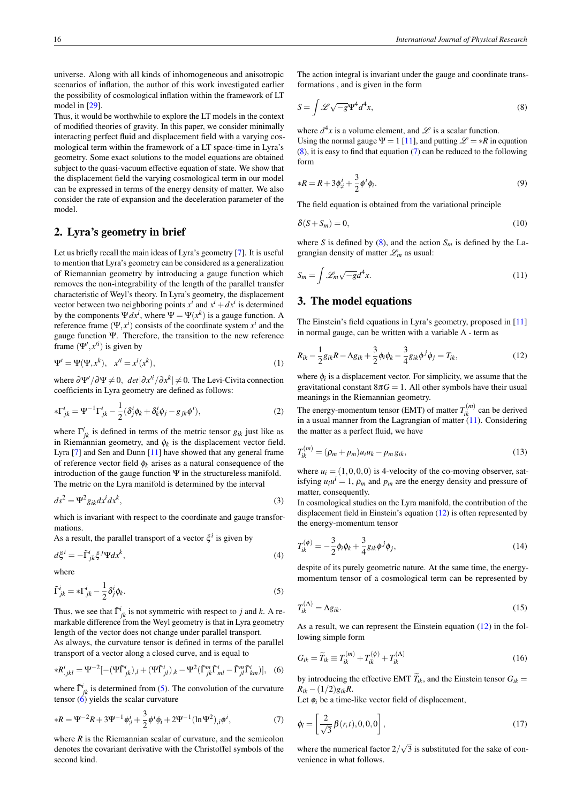universe. Along with all kinds of inhomogeneous and anisotropic scenarios of inflation, the author of this work investigated earlier the possibility of cosmological inflation within the framework of LT model in [\[29\]](#page-4-19).

Thus, it would be worthwhile to explore the LT models in the context of modified theories of gravity. In this paper, we consider minimally interacting perfect fluid and displacement field with a varying cosmological term within the framework of a LT space-time in Lyra's geometry. Some exact solutions to the model equations are obtained subject to the quasi-vacuum effective equation of state. We show that the displacement field the varying cosmological term in our model can be expressed in terms of the energy density of matter. We also consider the rate of expansion and the deceleration parameter of the model.

## 2. Lyra's geometry in brief

Let us briefly recall the main ideas of Lyra's geometry [\[7\]](#page-4-4). It is useful to mention that Lyra's geometry can be considered as a generalization of Riemannian geometry by introducing a gauge function which removes the non-integrability of the length of the parallel transfer characteristic of Weyl's theory. In Lyra's geometry, the displacement vector between two neighboring points  $x^i$  and  $x^i + dx^i$  is determined by the components  $\Psi dx^i$ , where  $\Psi = \Psi(x^k)$  is a gauge function. A reference frame  $(\Psi, x^i)$  consists of the coordinate system  $x^i$  and the gauge function Ψ. Therefore, the transition to the new reference frame  $(\Psi', x'^i)$  is given by

$$
\Psi' = \Psi(\Psi, x^k), \quad x'^i = x^i(x^k), \tag{1}
$$

where  $\frac{\partial \Psi'}{\partial \Psi \neq 0}$ ,  $\frac{det}{\partial x^{i}} / \frac{\partial x^{k}}{\partial x^{k}} \neq 0$ . The Levi-Civita connection coefficients in Lyra geometry are defined as follows:

$$
*\Gamma^i_{jk} = \Psi^{-1}\Gamma^i_{jk} - \frac{1}{2}(\delta^i_j \phi_k + \delta^i_k \phi_j - g_{jk}\phi^i),
$$
\n(2)

where  $\Gamma^i_{jk}$  is defined in terms of the metric tensor  $g_{ik}$  just like as in Riemannian geometry, and  $\phi_k$  is the displacement vector field. Lyra [\[7\]](#page-4-4) and Sen and Dunn [\[11\]](#page-4-8) have showed that any general frame of reference vector field  $\phi_k$  arises as a natural consequence of the introduction of the gauge function  $\Psi$  in the structureless manifold. The metric on the Lyra manifold is determined by the interval

$$
ds^2 = \Psi^2 g_{ik} dx^i dx^k, \tag{3}
$$

which is invariant with respect to the coordinate and gauge transformations.

As a result, the parallel transport of a vector  $\xi^i$  is given by

$$
d\xi^i = -\tilde{\Gamma}^i_{jk}\xi^j \Psi dx^k,\tag{4}
$$

<span id="page-1-0"></span>where

$$
\tilde{\Gamma}^i_{jk} = * \Gamma^i_{jk} - \frac{1}{2} \delta^i_j \phi_k.
$$
\n(5)

Thus, we see that  $\tilde{\Gamma}^i_{jk}$  is not symmetric with respect to *j* and *k*. A remarkable difference from the Weyl geometry is that in Lyra geometry length of the vector does not change under parallel transport. As always, the curvature tensor is defined in terms of the parallel transport of a vector along a closed curve, and is equal to

$$
*R^i_{jkl} = \Psi^{-2}[-(\Psi\widetilde{\Gamma}^i_{jk})_{,l} + (\Psi\widetilde{\Gamma}^i_{jl})_{,k} - \Psi^2(\widetilde{\Gamma}^m_{jk}\widetilde{\Gamma}^i_{ml} - \widetilde{\Gamma}^m_{jl}\widetilde{\Gamma}^i_{km})], \quad (6)
$$

where  $\tilde{\Gamma}^i_{jk}$  is determined from [\(5\)](#page-1-0). The convolution of the curvature tensor  $\overrightarrow{6}$  yields the scalar curvature

$$
*R = \Psi^{-2}R + 3\Psi^{-1}\phi_{;i}^{i} + \frac{3}{2}\phi^{i}\phi_{i} + 2\Psi^{-1}(\ln\Psi^{2})_{;i}\phi^{i},
$$
\n(7)

where *R* is the Riemannian scalar of curvature, and the semicolon denotes the covariant derivative with the Christoffel symbols of the second kind.

The action integral is invariant under the gauge and coordinate transformations , and is given in the form

<span id="page-1-2"></span>
$$
S = \int \mathcal{L}\sqrt{-g} \Psi^4 d^4x,\tag{8}
$$

where  $d^4x$  is a volume element, and  $\mathscr L$  is a scalar function.

Using the normal gauge  $\Psi = 1$  [\[11\]](#page-4-8), and putting  $\mathscr{L} = *R$  in equation [\(8\)](#page-1-2), it is easy to find that equation [\(7\)](#page-1-3) can be reduced to the following form

$$
*R = R + 3\phi_{;i}^{i} + \frac{3}{2}\phi^{i}\phi_{i}.
$$
 (9)

The field equation is obtained from the variational principle

$$
\delta(S+S_m)=0,\t(10)
$$

<span id="page-1-4"></span>where *S* is defined by [\(8\)](#page-1-2), and the action  $S_m$  is defined by the Lagrangian density of matter  $\mathcal{L}_m$  as usual:

$$
S_m = \int \mathcal{L}_m \sqrt{-g} d^4 x. \tag{11}
$$

## 3. The model equations

<span id="page-1-5"></span>The Einstein's field equations in Lyra's geometry, proposed in [\[11\]](#page-4-8) in normal gauge, can be written with a variable  $\Lambda$  - term as

$$
R_{ik} - \frac{1}{2}g_{ik}R - \Lambda g_{ik} + \frac{3}{2}\phi_i\phi_k - \frac{3}{4}g_{ik}\phi^j\phi_j = T_{ik},
$$
\n(12)

where  $\phi_i$  is a displacement vector. For simplicity, we assume that the gravitational constant  $8\pi G = 1$ . All other symbols have their usual meanings in the Riemannian geometry.

The energy-momentum tensor (EMT) of matter  $T_{ik}^{(m)}$  can be derived in a usual manner from the Lagrangian of matter  $(11)$ . Considering the matter as a perfect fluid, we have

<span id="page-1-8"></span>
$$
T_{ik}^{(m)} = (\rho_m + p_m)u_i u_k - p_m g_{ik},
$$
\n(13)

where  $u_i = (1,0,0,0)$  is 4-velocity of the co-moving observer, satisfying  $u_i u^i = 1$ ,  $\rho_m$  and  $p_m$  are the energy density and pressure of matter, consequently.

In cosmological studies on the Lyra manifold, the contribution of the displacement field in Einstein's equation [\(12\)](#page-1-5) is often represented by the energy-momentum tensor

$$
T_{ik}^{(\phi)} = -\frac{3}{2}\phi_i \phi_k + \frac{3}{4}g_{ik}\phi^j \phi_j,
$$
 (14)

<span id="page-1-6"></span>despite of its purely geometric nature. At the same time, the energymomentum tensor of a cosmological term can be represented by

$$
T_{ik}^{(\Lambda)} = \Lambda g_{ik}.\tag{15}
$$

<span id="page-1-7"></span>As a result, we can represent the Einstein equation [\(12\)](#page-1-5) in the following simple form

<span id="page-1-1"></span>
$$
G_{ik} = \widetilde{T}_{ik} \equiv T_{ik}^{(m)} + T_{ik}^{(\phi)} + T_{ik}^{(\Lambda)} \tag{16}
$$

by introducing the effective EMT  $\widetilde{T}_{ik}$ , and the Einstein tensor  $G_{ik}$  =  $R_{ik} - (1/2)g_{ik}R$ .

<span id="page-1-9"></span><span id="page-1-3"></span>Let  $\phi_i$  be a time-like vector field of displacement,

$$
\phi_i = \left[\frac{2}{\sqrt{3}}\beta(r,t), 0, 0, 0\right],\tag{17}
$$

where the numerical factor  $2/\sqrt{3}$  is substituted for the sake of convenience in what follows.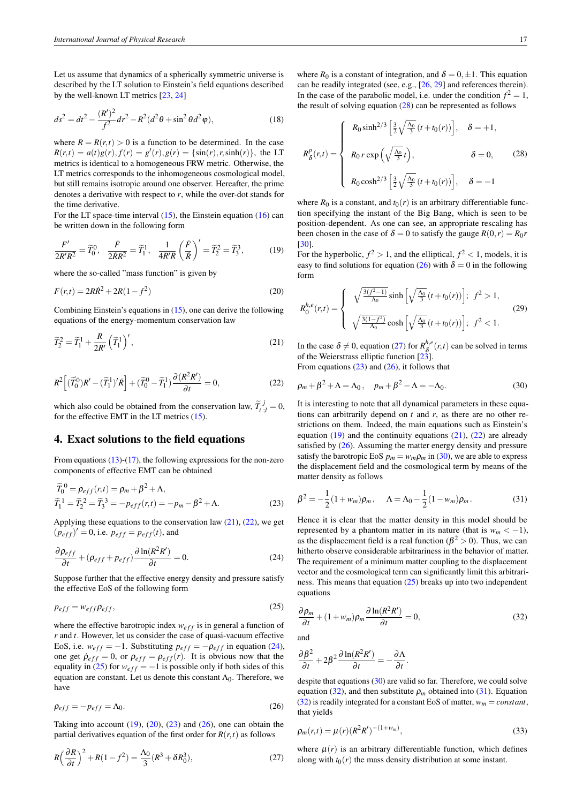Let us assume that dynamics of a spherically symmetric universe is described by the LT solution to Einstein's field equations described by the well-known LT metrics [\[23,](#page-4-13) [24\]](#page-4-14)

$$
ds^{2} = dt^{2} - \frac{(R')^{2}}{f^{2}}dr^{2} - R^{2}(d^{2}\theta + \sin^{2}\theta d^{2}\varphi),
$$
 (18)

where  $R = R(r,t) > 0$  is a function to be determined. In the case  $R(r,t) = a(t)g(r), f(r) = g'(r), g(r) = \{\sin(r), r, \sinh(r)\},$  the LT metrics is identical to a homogeneous FRW metric. Otherwise, the LT metrics corresponds to the inhomogeneous cosmological model, but still remains isotropic around one observer. Hereafter, the prime denotes a derivative with respect to *r*, while the over-dot stands for the time derivative.

For the LT space-time interval  $(15)$ , the Einstein equation  $(16)$  can be written down in the following form

$$
\frac{F'}{2R'R^2} = \widetilde{T}_0^0, \quad \frac{\dot{F}}{2\dot{R}R^2} = \widetilde{T}_1^1, \quad \frac{1}{4R'R} \left(\frac{\dot{F}}{\dot{R}}\right)' = \widetilde{T}_2^2 = \widetilde{T}_3^3,\tag{19}
$$

where the so-called "mass function" is given by

$$
F(r,t) = 2R\dot{R}^2 + 2R(1 - f^2)
$$
\n(20)

Combining Einstein's equations in  $(15)$ , one can derive the following equations of the energy-momentum conservation law

<span id="page-2-1"></span>
$$
\widetilde{T}_2^2 = \widetilde{T}_1^1 + \frac{R}{2R'} \left( \widetilde{T}_1^1 \right)',\tag{21}
$$

$$
R^2\left[ (\tilde{T}_0^0)R' - (\tilde{T}_1^1)' \dot{R} \right] + (\tilde{T}_0^0 - \tilde{T}_1^1) \frac{\partial (R^2 R')}{\partial t} = 0, \tag{22}
$$

which also could be obtained from the conservation law,  $\widetilde{T}_{i\;j}^{j} = 0$ , for the effective EMT in the LT metrics [\(15\)](#page-1-6).

#### 4. Exact solutions to the field equations

From equations  $(13)-(17)$  $(13)-(17)$  $(13)-(17)$ , the following expressions for the non-zero components of effective EMT can be obtained

<span id="page-2-6"></span>
$$
\widetilde{T}_0^0 = \rho_{eff}(r,t) = \rho_m + \beta^2 + \Lambda,
$$
  
\n
$$
\widetilde{T}_1^1 = \widetilde{T}_2^2 = \widetilde{T}_3^3 = -p_{eff}(r,t) = -p_m - \beta^2 + \Lambda.
$$
\n(23)

Applying these equations to the conservation law [\(21\)](#page-2-0), [\(22\)](#page-2-1), we get  $(p_{eff})' = 0$ , i.e.  $p_{eff} = p_{eff}(t)$ , and

$$
\frac{\partial \rho_{eff}}{\partial t} + (\rho_{eff} + p_{eff}) \frac{\partial \ln(R^2 R')}{\partial t} = 0.
$$
 (24)

Suppose further that the effective energy density and pressure satisfy the effective EoS of the following form

$$
p_{eff} = w_{eff} \rho_{eff},\tag{25}
$$

where the effective barotropic index  $w_{eff}$  is in general a function of *r* and *t*. However, let us consider the case of quasi-vacuum effective EoS, i.e.  $w_{eff} = -1$ . Substituting  $p_{eff} = -\rho_{eff}$  in equation [\(24\)](#page-2-2), one get  $\rho_{eff} = 0$ , or  $\rho_{eff} = \rho_{eff}(r)$ . It is obvious now that the equality in [\(25\)](#page-2-3) for  $w_{eff} = -1$  is possible only if both sides of this equation are constant. Let us denote this constant  $\Lambda_0$ . Therefore, we have

<span id="page-2-7"></span>
$$
\rho_{eff} = -p_{eff} = \Lambda_0. \tag{26}
$$

Taking into account  $(19)$ ,  $(20)$ ,  $(23)$  and  $(26)$ , one can obtain the partial derivatives equation of the first order for  $R(r,t)$  as follows

$$
R\left(\frac{\partial R}{\partial t}\right)^2 + R(1 - f^2) = \frac{\Lambda_0}{3} (R^3 + \delta R_0^3),\tag{27}
$$

where  $R_0$  is a constant of integration, and  $\delta = 0, \pm 1$ . This equation can be readily integrated (see, e.g., [\[26,](#page-4-16) [29\]](#page-4-19) and references therein). In the case of the parabolic model, i.e. under the condition  $f^2 = 1$ , the result of solving equation  $(28)$  can be represented as follows

<span id="page-2-8"></span>
$$
R_{\delta}^{p}(r,t) = \begin{cases} R_{0} \sinh^{2/3} \left[ \frac{3}{2} \sqrt{\frac{\Lambda_{0}}{3}} (t + t_{0}(r)) \right], & \delta = +1, \\ R_{0} r \exp \left( \sqrt{\frac{\Lambda_{0}}{3}} t \right), & \delta = 0, \\ R_{0} \cosh^{2/3} \left[ \frac{3}{2} \sqrt{\frac{\Lambda_{0}}{3}} (t + t_{0}(r)) \right], & \delta = -1 \end{cases}
$$
(28)

<span id="page-2-4"></span>where  $R_0$  is a constant, and  $t_0(r)$  is an arbitrary differentiable function specifying the instant of the Big Bang, which is seen to be position-dependent. As one can see, an appropriate rescaling has been chosen in the case of  $\delta = 0$  to satisfy the gauge  $R(0,r) = R_0r$ [\[30\]](#page-4-20).

<span id="page-2-5"></span>For the hyperbolic,  $f^2 > 1$ , and the elliptical,  $f^2 < 1$ , models, it is easy to find solutions for equation [\(26\)](#page-2-7) with  $\delta = 0$  in the following form

$$
R_0^{h,e}(r,t) = \begin{cases} \sqrt{\frac{3(f^2-1)}{\Lambda_0}} \sinh\left[\sqrt{\frac{\Lambda_0}{3}}(t+t_0(r))\right]; & f^2 > 1, \\ \sqrt{\frac{3(1-f^2)}{\Lambda_0}} \cosh\left[\sqrt{\frac{\Lambda_0}{3}}(t+t_0(r))\right]; & f^2 < 1. \end{cases}
$$
(29)

<span id="page-2-0"></span>In the case  $\delta \neq 0$ , equation [\(27\)](#page-2-9) for  $R^{h,\epsilon}_{\delta}$  $\delta$ <sup>*n*,*e*</sup></sup>(*r*,*t*) can be solved in terms of the Weierstrass elliptic function [\[23\]](#page-4-13).

<span id="page-2-10"></span>From equations  $(23)$  and  $(26)$ , it follows that

$$
\rho_m + \beta^2 + \Lambda = \Lambda_0, \quad p_m + \beta^2 - \Lambda = -\Lambda_0. \tag{30}
$$

It is interesting to note that all dynamical parameters in these equations can arbitrarily depend on  $t$  and  $r$ , as there are no other restrictions on them. Indeed, the main equations such as Einstein's equation  $(19)$  and the continuity equations  $(21)$ ,  $(22)$  are already satisfied by [\(26\)](#page-2-7). Assuming the matter energy density and pressure satisfy the barotropic EoS  $p_m = w_m \rho_m$  in [\(30\)](#page-2-10), we are able to express the displacement field and the cosmological term by means of the matter density as follows

<span id="page-2-12"></span>
$$
\beta^2 = -\frac{1}{2}(1 + w_m)\rho_m, \quad \Lambda = \Lambda_0 - \frac{1}{2}(1 - w_m)\rho_m.
$$
 (31)

<span id="page-2-2"></span>Hence it is clear that the matter density in this model should be represented by a phantom matter in its nature (that is  $w_m < -1$ ), as the displacement field is a real function ( $\beta^2 > 0$ ). Thus, we can hitherto observe considerable arbitrariness in the behavior of matter. The requirement of a minimum matter coupling to the displacement vector and the cosmological term can significantly limit this arbitrariness. This means that equation  $(25)$  breaks up into two independent equations

<span id="page-2-11"></span><span id="page-2-3"></span>
$$
\frac{\partial \rho_m}{\partial t} + (1 + w_m) \rho_m \frac{\partial \ln(R^2 R')}{\partial t} = 0, \tag{32}
$$

<span id="page-2-13"></span>and

$$
\frac{\partial \beta^2}{\partial t} + 2\beta^2 \frac{\partial \ln(R^2 R')}{\partial t} = -\frac{\partial \Lambda}{\partial t}.
$$

despite that equations [\(30\)](#page-2-10) are valid so far. Therefore, we could solve equation [\(32\)](#page-2-11), and then substitute  $\rho_m$  obtained into [\(31\)](#page-2-12). Equation [\(32\)](#page-2-11) is readily integrated for a constant EoS of matter,  $w_m = constant$ , that yields

<span id="page-2-9"></span>
$$
\rho_m(r,t) = \mu(r)(R^2 R')^{-(1+w_m)},\tag{33}
$$

where  $\mu(r)$  is an arbitrary differentiable function, which defines along with  $t_0(r)$  the mass density distribution at some instant.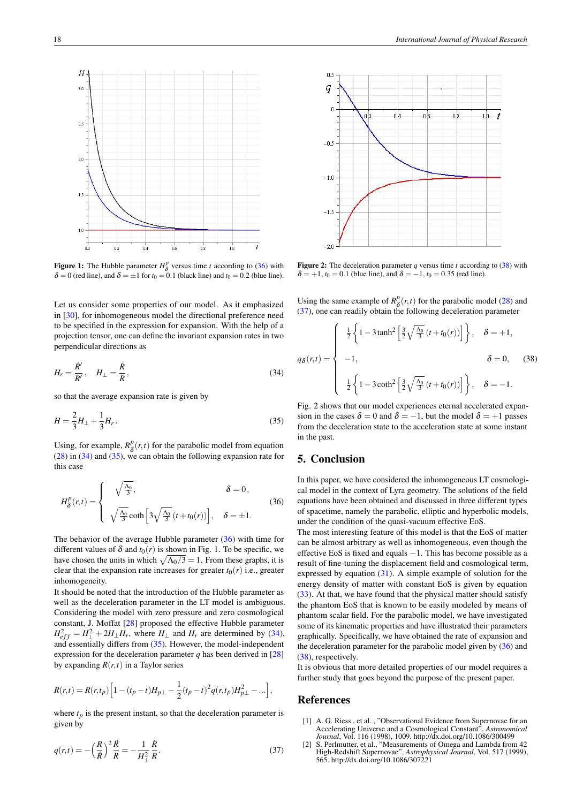

**Figure 1:** The Hubble parameter  $H^p_\delta$  versus time *t* according to [\(36\)](#page-3-2) with  $\delta = 0$  (red line), and  $\delta = \pm 1$  for  $t_0 = 0.1$  (black line) and  $t_0 = 0.2$  (blue line).

Let us consider some properties of our model. As it emphasized in [\[30\]](#page-4-20), for inhomogeneous model the directional preference need to be specified in the expression for expansion. With the help of a projection tensor, one can define the invariant expansion rates in two perpendicular directions as

<span id="page-3-3"></span>
$$
H_r = \frac{\dot{R}'}{R'}, \quad H_{\perp} = \frac{\dot{R}}{R}, \tag{34}
$$

so that the average expansion rate is given by

$$
H = \frac{2}{3}H_{\perp} + \frac{1}{3}H_r.
$$
 (35)

Using, for example,  $R^p_{\delta}$  $\delta(r,t)$  for the parabolic model from equation [\(28\)](#page-2-8) in [\(34\)](#page-3-3) and [\(35\)](#page-3-4), we can obtain the following expansion rate for this case

<span id="page-3-2"></span>
$$
H_{\delta}^{p}(r,t) = \begin{cases} \sqrt{\frac{\Lambda_{0}}{3}}, & \delta = 0, \\ \sqrt{\frac{\Lambda_{0}}{3}} \coth\left[3\sqrt{\frac{\Lambda_{0}}{3}}\left(t+t_{0}(r)\right)\right], & \delta = \pm 1. \end{cases}
$$
(36)

The behavior of the average Hubble parameter [\(36\)](#page-3-2) with time for different values of  $\delta$  and  $t_0(r)$  is shown in Fig. 1. To be specific, we have chosen the units in which  $\sqrt{\Lambda_0/3} = 1$ . From these graphs, it is clear that the expansion rate increases for greater  $t_0(r)$  i.e., greater inhomogeneity.

It should be noted that the introduction of the Hubble parameter as well as the deceleration parameter in the LT model is ambiguous. Considering the model with zero pressure and zero cosmological constant, J. Moffat [\[28\]](#page-4-18) proposed the effective Hubble parameter  $H_{eff}^2 = H_{\perp}^2 + 2H_{\perp}H_r$ , where  $H_{\perp}$  and  $H_r$  are determined by [\(34\)](#page-3-3), and essentially differs from [\(35\)](#page-3-4). However, the model-independent expression for the deceleration parameter  $q$  has been derived in  $[28]$ by expanding  $R(r,t)$  in a Taylor series

$$
R(r,t) = R(r,t_p) \left[ 1 - (t_p - t)H_{p\perp} - \frac{1}{2}(t_p - t)^2 q(r,t_p)H_{p\perp}^2 - \ldots \right],
$$

where  $t_p$  is the present instant, so that the deceleration parameter is given by

$$
q(r,t) = -\left(\frac{R}{R}\right)^2 \frac{\ddot{R}}{R} = -\frac{1}{H_{\perp}^2} \frac{\ddot{R}}{R}.
$$
 (37)



**Figure 2:** The deceleration parameter  $q$  versus time  $t$  according to [\(38\)](#page-3-5) with  $\delta = +1, t_0 = 0.1$  (blue line), and  $\delta = -1, t_0 = 0.35$  (red line).

Using the same example of  $R^p_{\delta}$  $\delta(\mathbf{r},t)$  for the parabolic model [\(28\)](#page-2-8) and [\(37\)](#page-3-6), one can readily obtain the following deceleration parameter

<span id="page-3-5"></span>
$$
q_{\delta}(r,t) = \begin{cases} \frac{1}{2} \left\{ 1 - 3 \tanh^2 \left[ \frac{3}{2} \sqrt{\frac{\Lambda_0}{3}} \left( t + t_0(r) \right) \right] \right\}, & \delta = +1, \\ -1, & \delta = 0, \\ \frac{1}{2} \left\{ 1 - 3 \coth^2 \left[ \frac{3}{2} \sqrt{\frac{\Lambda_0}{3}} \left( t + t_0(r) \right) \right] \right\}, & \delta = -1. \end{cases}
$$
(38)

<span id="page-3-4"></span>Fig. 2 shows that our model experiences eternal accelerated expansion in the cases  $\delta = 0$  and  $\delta = -1$ , but the model  $\delta = +1$  passes from the deceleration state to the acceleration state at some instant in the past.

## 5. Conclusion

In this paper, we have considered the inhomogeneous LT cosmological model in the context of Lyra geometry. The solutions of the field equations have been obtained and discussed in three different types of spacetime, namely the parabolic, elliptic and hyperbolic models, under the condition of the quasi-vacuum effective EoS.

The most interesting feature of this model is that the EoS of matter can be almost arbitrary as well as inhomogeneous, even though the effective EoS is fixed and equals −1. This has become possible as a result of fine-tuning the displacement field and cosmological term, expressed by equation [\(31\)](#page-2-12). A simple example of solution for the energy density of matter with constant EoS is given by equation [\(33\)](#page-2-13). At that, we have found that the physical matter should satisfy the phantom EoS that is known to be easily modeled by means of phantom scalar field. For the parabolic model, we have investigated some of its kinematic properties and have illustrated their parameters graphically. Specifically, we have obtained the rate of expansion and the deceleration parameter for the parabolic model given by  $(36)$  and [\(38\)](#page-3-5), respectively.

<span id="page-3-6"></span>It is obvious that more detailed properties of our model requires a further study that goes beyond the purpose of the present paper.

#### References

- <span id="page-3-0"></span>[1] A. G. Riess, et al., "Observational Evidence from Supernovae for an Accelerating Universe and a Cosmological Constant", *Astronomical Journal*, Vol. 116 (1998), 1009. http://dx.doi.org/10.1086/300499
- <span id="page-3-1"></span>[2] S. Perlmutter, et al., "Measurements of Omega and Lambda from 42 High-Redshift Supernovae", *Astrophysical Journal*, Vol. 517 (1999), 565. http://dx.doi.org/10.1086/307221